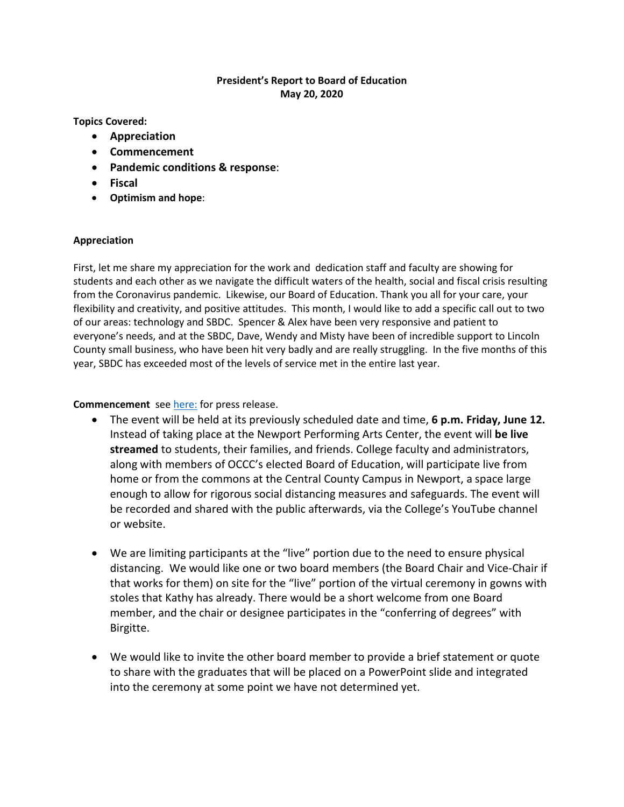# **President's Report to Board of Education May 20, 2020**

**Topics Covered:**

- **Appreciation**
- **Commencement**
- **Pandemic conditions & response**:
- **Fiscal**
- **Optimism and hope**:

#### **Appreciation**

First, let me share my appreciation for the work and dedication staff and faculty are showing for students and each other as we navigate the difficult waters of the health, social and fiscal crisis resulting from the Coronavirus pandemic. Likewise, our Board of Education. Thank you all for your care, your flexibility and creativity, and positive attitudes. This month, I would like to add a specific call out to two of our areas: technology and SBDC. Spencer & Alex have been very responsive and patient to everyone's needs, and at the SBDC, Dave, Wendy and Misty have been of incredible support to Lincoln County small business, who have been hit very badly and are really struggling. In the five months of this year, SBDC has exceeded most of the levels of service met in the entire last year.

### **Commencement** see [here:](https://www.thenewsguard.com/community/oregon-coast-community-college-commencement-to-be-live-streamed/article_fe35e8ce-96d7-11ea-8491-17f9cfabd591.html) for press release.

- The event will be held at its previously scheduled date and time, **6 p.m. Friday, June 12.**  Instead of taking place at the Newport Performing Arts Center, the event will **be live streamed** to students, their families, and friends. College faculty and administrators, along with members of OCCC's elected Board of Education, will participate live from home or from the commons at the Central County Campus in Newport, a space large enough to allow for rigorous social distancing measures and safeguards. The event will be recorded and shared with the public afterwards, via the College's YouTube channel or website.
- We are limiting participants at the "live" portion due to the need to ensure physical distancing. We would like one or two board members (the Board Chair and Vice-Chair if that works for them) on site for the "live" portion of the virtual ceremony in gowns with stoles that Kathy has already. There would be a short welcome from one Board member, and the chair or designee participates in the "conferring of degrees" with Birgitte.
- We would like to invite the other board member to provide a brief statement or quote to share with the graduates that will be placed on a PowerPoint slide and integrated into the ceremony at some point we have not determined yet.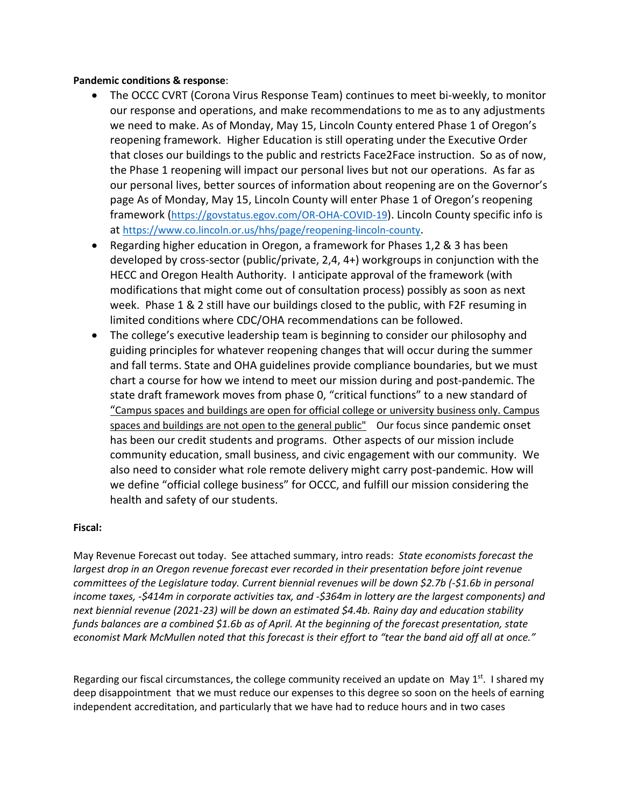# **Pandemic conditions & response**:

- The OCCC CVRT (Corona Virus Response Team) continues to meet bi-weekly, to monitor our response and operations, and make recommendations to me as to any adjustments we need to make. As of Monday, May 15, Lincoln County entered Phase 1 of Oregon's reopening framework. Higher Education is still operating under the Executive Order that closes our buildings to the public and restricts Face2Face instruction. So as of now, the Phase 1 reopening will impact our personal lives but not our operations. As far as our personal lives, better sources of information about reopening are on the Governor's page As of Monday, May 15, Lincoln County will enter Phase 1 of Oregon's reopening framework [\(https://govstatus.egov.com/OR-OHA-COVID-19\)](https://govstatus.egov.com/OR-OHA-COVID-19). Lincoln County specific info is at [https://www.co.lincoln.or.us/hhs/page/reopening-lincoln-county.](https://www.co.lincoln.or.us/hhs/page/reopening-lincoln-county)
- Regarding higher education in Oregon, a framework for Phases 1,2 & 3 has been developed by cross-sector (public/private, 2,4, 4+) workgroups in conjunction with the HECC and Oregon Health Authority. I anticipate approval of the framework (with modifications that might come out of consultation process) possibly as soon as next week. Phase 1 & 2 still have our buildings closed to the public, with F2F resuming in limited conditions where CDC/OHA recommendations can be followed.
- The college's executive leadership team is beginning to consider our philosophy and guiding principles for whatever reopening changes that will occur during the summer and fall terms. State and OHA guidelines provide compliance boundaries, but we must chart a course for how we intend to meet our mission during and post-pandemic. The state draft framework moves from phase 0, "critical functions" to a new standard of "Campus spaces and buildings are open for official college or university business only. Campus spaces and buildings are not open to the general public" Our focus since pandemic onset has been our credit students and programs. Other aspects of our mission include community education, small business, and civic engagement with our community. We also need to consider what role remote delivery might carry post-pandemic. How will we define "official college business" for OCCC, and fulfill our mission considering the health and safety of our students.

#### **Fiscal:**

May Revenue Forecast out today. See attached summary, intro reads: *State economists forecast the largest drop in an Oregon revenue forecast ever recorded in their presentation before joint revenue committees of the Legislature today. Current biennial revenues will be down \$2.7b (-\$1.6b in personal income taxes, -\$414m in corporate activities tax, and -\$364m in lottery are the largest components) and next biennial revenue (2021-23) will be down an estimated \$4.4b. Rainy day and education stability funds balances are a combined \$1.6b as of April. At the beginning of the forecast presentation, state economist Mark McMullen noted that this forecast is their effort to "tear the band aid off all at once."* 

Regarding our fiscal circumstances, the college community received an update on May  $1^{st}$ . I shared my deep disappointment that we must reduce our expenses to this degree so soon on the heels of earning independent accreditation, and particularly that we have had to reduce hours and in two cases